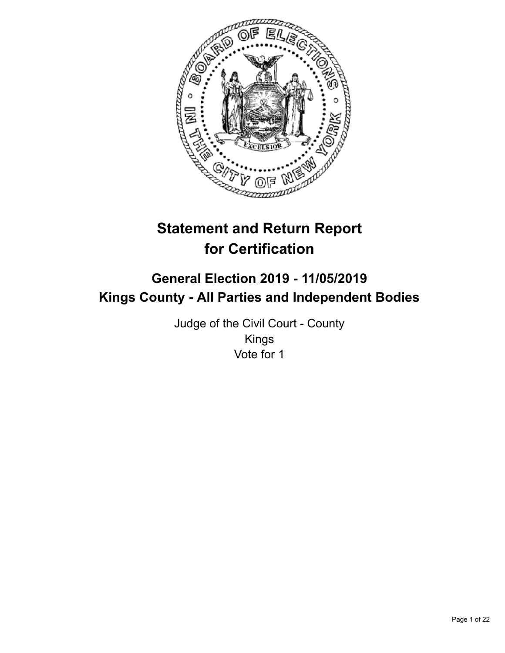

# **Statement and Return Report for Certification**

## **General Election 2019 - 11/05/2019 Kings County - All Parties and Independent Bodies**

Judge of the Civil Court - County Kings Vote for 1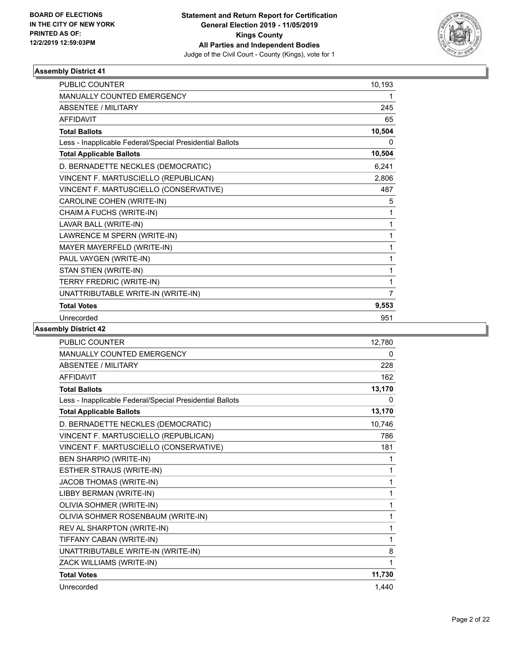

| <b>PUBLIC COUNTER</b>                                    | 10,193 |
|----------------------------------------------------------|--------|
| <b>MANUALLY COUNTED EMERGENCY</b>                        | 1      |
| <b>ABSENTEE / MILITARY</b>                               | 245    |
| <b>AFFIDAVIT</b>                                         | 65     |
| <b>Total Ballots</b>                                     | 10,504 |
| Less - Inapplicable Federal/Special Presidential Ballots | 0      |
| <b>Total Applicable Ballots</b>                          | 10,504 |
| D. BERNADETTE NECKLES (DEMOCRATIC)                       | 6,241  |
| VINCENT F. MARTUSCIELLO (REPUBLICAN)                     | 2,806  |
| VINCENT F. MARTUSCIELLO (CONSERVATIVE)                   | 487    |
| CAROLINE COHEN (WRITE-IN)                                | 5      |
| CHAIM A FUCHS (WRITE-IN)                                 | 1      |
| LAVAR BALL (WRITE-IN)                                    | 1      |
| LAWRENCE M SPERN (WRITE-IN)                              | 1      |
| MAYER MAYERFELD (WRITE-IN)                               | 1      |
| PAUL VAYGEN (WRITE-IN)                                   | 1      |
| STAN STIEN (WRITE-IN)                                    | 1      |
| TERRY FREDRIC (WRITE-IN)                                 | 1      |
| UNATTRIBUTABLE WRITE-IN (WRITE-IN)                       | 7      |
| <b>Total Votes</b>                                       | 9,553  |
| Unrecorded                                               | 951    |

| <b>PUBLIC COUNTER</b>                                    | 12,780 |
|----------------------------------------------------------|--------|
| <b>MANUALLY COUNTED EMERGENCY</b>                        | 0      |
| ABSENTEE / MILITARY                                      | 228    |
| <b>AFFIDAVIT</b>                                         | 162    |
| <b>Total Ballots</b>                                     | 13,170 |
| Less - Inapplicable Federal/Special Presidential Ballots | 0      |
| <b>Total Applicable Ballots</b>                          | 13,170 |
| D. BERNADETTE NECKLES (DEMOCRATIC)                       | 10.746 |
| VINCENT F. MARTUSCIELLO (REPUBLICAN)                     | 786    |
| VINCENT F. MARTUSCIELLO (CONSERVATIVE)                   | 181    |
| <b>BEN SHARPIO (WRITE-IN)</b>                            | 1      |
| ESTHER STRAUS (WRITE-IN)                                 | 1      |
| JACOB THOMAS (WRITE-IN)                                  | 1      |
| LIBBY BERMAN (WRITE-IN)                                  | 1      |
| OLIVIA SOHMER (WRITE-IN)                                 | 1      |
| OLIVIA SOHMER ROSENBAUM (WRITE-IN)                       | 1      |
| REV AL SHARPTON (WRITE-IN)                               | 1      |
| TIFFANY CABAN (WRITE-IN)                                 | 1      |
| UNATTRIBUTABLE WRITE-IN (WRITE-IN)                       | 8      |
| ZACK WILLIAMS (WRITE-IN)                                 | 1      |
| <b>Total Votes</b>                                       | 11,730 |
| Unrecorded                                               | 1,440  |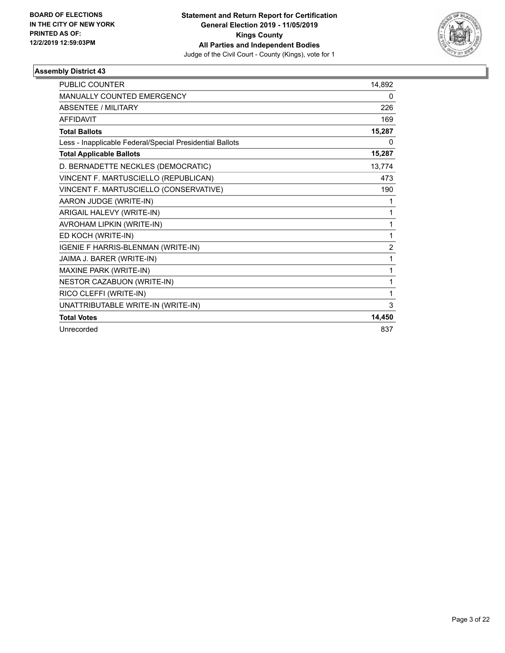

| <b>PUBLIC COUNTER</b>                                    | 14,892         |
|----------------------------------------------------------|----------------|
| <b>MANUALLY COUNTED EMERGENCY</b>                        | 0              |
| <b>ABSENTEE / MILITARY</b>                               | 226            |
| <b>AFFIDAVIT</b>                                         | 169            |
| <b>Total Ballots</b>                                     | 15,287         |
| Less - Inapplicable Federal/Special Presidential Ballots | 0              |
| <b>Total Applicable Ballots</b>                          | 15,287         |
| D. BERNADETTE NECKLES (DEMOCRATIC)                       | 13,774         |
| VINCENT F. MARTUSCIELLO (REPUBLICAN)                     | 473            |
| VINCENT F. MARTUSCIELLO (CONSERVATIVE)                   | 190            |
| AARON JUDGE (WRITE-IN)                                   | 1              |
| ARIGAIL HALEVY (WRITE-IN)                                | 1              |
| AVROHAM LIPKIN (WRITE-IN)                                | 1              |
| ED KOCH (WRITE-IN)                                       | 1              |
| IGENIE F HARRIS-BLENMAN (WRITE-IN)                       | $\overline{2}$ |
| JAIMA J. BARER (WRITE-IN)                                | 1              |
| MAXINE PARK (WRITE-IN)                                   | 1              |
| NESTOR CAZABUON (WRITE-IN)                               | 1              |
| RICO CLEFFI (WRITE-IN)                                   | 1              |
| UNATTRIBUTABLE WRITE-IN (WRITE-IN)                       | 3              |
| <b>Total Votes</b>                                       | 14,450         |
| Unrecorded                                               | 837            |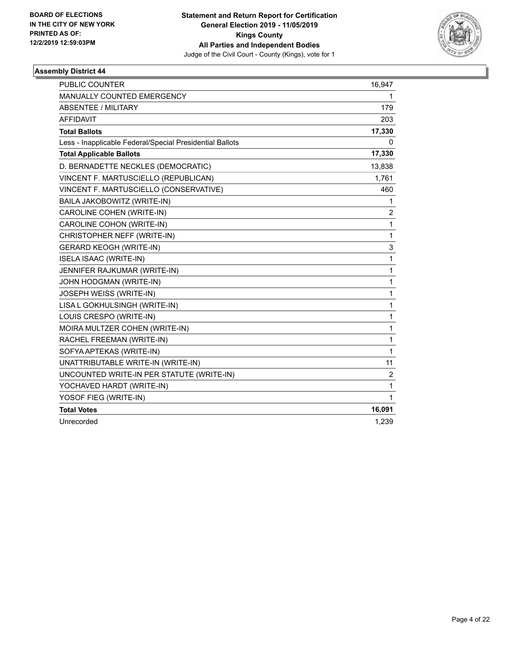

| <b>PUBLIC COUNTER</b>                                    | 16,947         |
|----------------------------------------------------------|----------------|
| <b>MANUALLY COUNTED EMERGENCY</b>                        | 1              |
| <b>ABSENTEE / MILITARY</b>                               | 179            |
| <b>AFFIDAVIT</b>                                         | 203            |
| <b>Total Ballots</b>                                     | 17,330         |
| Less - Inapplicable Federal/Special Presidential Ballots | 0              |
| <b>Total Applicable Ballots</b>                          | 17,330         |
| D. BERNADETTE NECKLES (DEMOCRATIC)                       | 13,838         |
| VINCENT F. MARTUSCIELLO (REPUBLICAN)                     | 1,761          |
| VINCENT F. MARTUSCIELLO (CONSERVATIVE)                   | 460            |
| BAILA JAKOBOWITZ (WRITE-IN)                              | 1              |
| CAROLINE COHEN (WRITE-IN)                                | $\overline{c}$ |
| CAROLINE COHON (WRITE-IN)                                | 1              |
| CHRISTOPHER NEFF (WRITE-IN)                              | 1              |
| <b>GERARD KEOGH (WRITE-IN)</b>                           | 3              |
| <b>ISELA ISAAC (WRITE-IN)</b>                            | 1              |
| JENNIFER RAJKUMAR (WRITE-IN)                             | 1              |
| JOHN HODGMAN (WRITE-IN)                                  | 1              |
| JOSEPH WEISS (WRITE-IN)                                  | 1              |
| LISA L GOKHULSINGH (WRITE-IN)                            | 1              |
| LOUIS CRESPO (WRITE-IN)                                  | 1              |
| MOIRA MULTZER COHEN (WRITE-IN)                           | 1              |
| RACHEL FREEMAN (WRITE-IN)                                | 1              |
| SOFYA APTEKAS (WRITE-IN)                                 | 1              |
| UNATTRIBUTABLE WRITE-IN (WRITE-IN)                       | 11             |
| UNCOUNTED WRITE-IN PER STATUTE (WRITE-IN)                | $\overline{c}$ |
| YOCHAVED HARDT (WRITE-IN)                                | 1              |
| YOSOF FIEG (WRITE-IN)                                    | 1              |
| <b>Total Votes</b>                                       | 16,091         |
| Unrecorded                                               | 1,239          |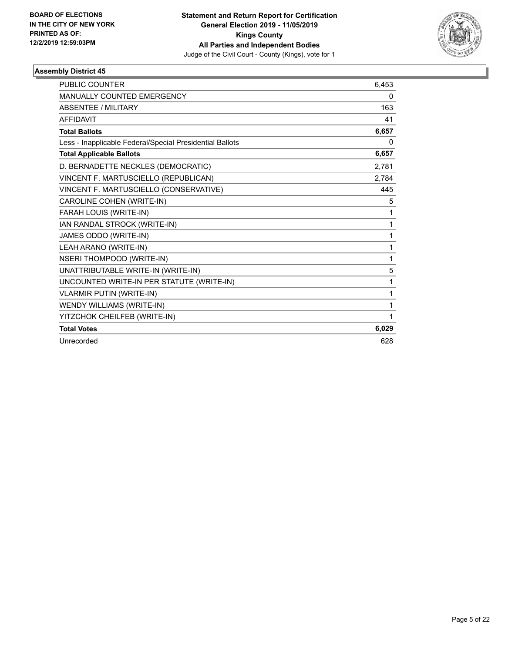

| <b>PUBLIC COUNTER</b>                                    | 6,453 |
|----------------------------------------------------------|-------|
| <b>MANUALLY COUNTED EMERGENCY</b>                        | 0     |
| <b>ABSENTEE / MILITARY</b>                               | 163   |
| <b>AFFIDAVIT</b>                                         | 41    |
| <b>Total Ballots</b>                                     | 6,657 |
| Less - Inapplicable Federal/Special Presidential Ballots | 0     |
| <b>Total Applicable Ballots</b>                          | 6,657 |
| D. BERNADETTE NECKLES (DEMOCRATIC)                       | 2,781 |
| VINCENT F. MARTUSCIELLO (REPUBLICAN)                     | 2,784 |
| VINCENT F. MARTUSCIELLO (CONSERVATIVE)                   | 445   |
| CAROLINE COHEN (WRITE-IN)                                | 5     |
| FARAH LOUIS (WRITE-IN)                                   | 1     |
| IAN RANDAL STROCK (WRITE-IN)                             | 1     |
| JAMES ODDO (WRITE-IN)                                    | 1     |
| LEAH ARANO (WRITE-IN)                                    | 1     |
| <b>NSERI THOMPOOD (WRITE-IN)</b>                         | 1     |
| UNATTRIBUTABLE WRITE-IN (WRITE-IN)                       | 5     |
| UNCOUNTED WRITE-IN PER STATUTE (WRITE-IN)                | 1     |
| <b>VLARMIR PUTIN (WRITE-IN)</b>                          | 1     |
| WENDY WILLIAMS (WRITE-IN)                                | 1     |
| YITZCHOK CHEILFEB (WRITE-IN)                             | 1     |
| <b>Total Votes</b>                                       | 6,029 |
| Unrecorded                                               | 628   |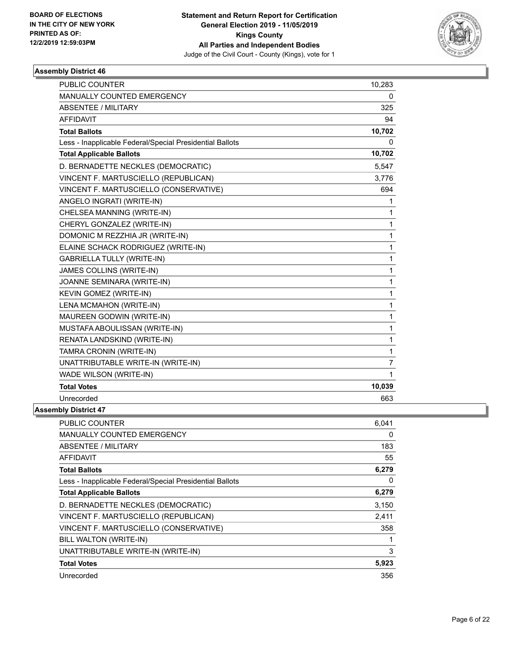

| <b>PUBLIC COUNTER</b>                                    | 10,283         |
|----------------------------------------------------------|----------------|
| <b>MANUALLY COUNTED EMERGENCY</b>                        | 0              |
| <b>ABSENTEE / MILITARY</b>                               | 325            |
| <b>AFFIDAVIT</b>                                         | 94             |
| <b>Total Ballots</b>                                     | 10,702         |
| Less - Inapplicable Federal/Special Presidential Ballots | 0              |
| <b>Total Applicable Ballots</b>                          | 10,702         |
| D. BERNADETTE NECKLES (DEMOCRATIC)                       | 5,547          |
| VINCENT F. MARTUSCIELLO (REPUBLICAN)                     | 3,776          |
| VINCENT F. MARTUSCIELLO (CONSERVATIVE)                   | 694            |
| ANGELO INGRATI (WRITE-IN)                                | 1              |
| CHELSEA MANNING (WRITE-IN)                               | 1              |
| CHERYL GONZALEZ (WRITE-IN)                               | 1              |
| DOMONIC M REZZHIA JR (WRITE-IN)                          | 1              |
| ELAINE SCHACK RODRIGUEZ (WRITE-IN)                       | $\mathbf{1}$   |
| <b>GABRIELLA TULLY (WRITE-IN)</b>                        | 1              |
| JAMES COLLINS (WRITE-IN)                                 | $\mathbf{1}$   |
| JOANNE SEMINARA (WRITE-IN)                               | 1              |
| KEVIN GOMEZ (WRITE-IN)                                   | $\mathbf{1}$   |
| LENA MCMAHON (WRITE-IN)                                  | 1              |
| MAUREEN GODWIN (WRITE-IN)                                | 1              |
| MUSTAFA ABOULISSAN (WRITE-IN)                            | $\mathbf{1}$   |
| RENATA LANDSKIND (WRITE-IN)                              | 1              |
| TAMRA CRONIN (WRITE-IN)                                  | 1              |
| UNATTRIBUTABLE WRITE-IN (WRITE-IN)                       | $\overline{7}$ |
| WADE WILSON (WRITE-IN)                                   | 1              |
| <b>Total Votes</b>                                       | 10,039         |
| Unrecorded                                               | 663            |
| <b>Assembly District 47</b>                              |                |

| <b>PUBLIC COUNTER</b>                                    | 6.041 |
|----------------------------------------------------------|-------|
| <b>MANUALLY COUNTED EMERGENCY</b>                        | 0     |
| ABSENTEE / MILITARY                                      | 183   |
| AFFIDAVIT                                                | 55    |
| <b>Total Ballots</b>                                     | 6,279 |
| Less - Inapplicable Federal/Special Presidential Ballots | 0     |
| <b>Total Applicable Ballots</b>                          | 6,279 |
| D. BERNADETTE NECKLES (DEMOCRATIC)                       | 3,150 |
| VINCENT F. MARTUSCIELLO (REPUBLICAN)                     | 2,411 |
| VINCENT F. MARTUSCIELLO (CONSERVATIVE)                   | 358   |
| BILL WALTON (WRITE-IN)                                   |       |
| UNATTRIBUTABLE WRITE-IN (WRITE-IN)                       | 3     |
| <b>Total Votes</b>                                       | 5,923 |
| Unrecorded                                               | 356   |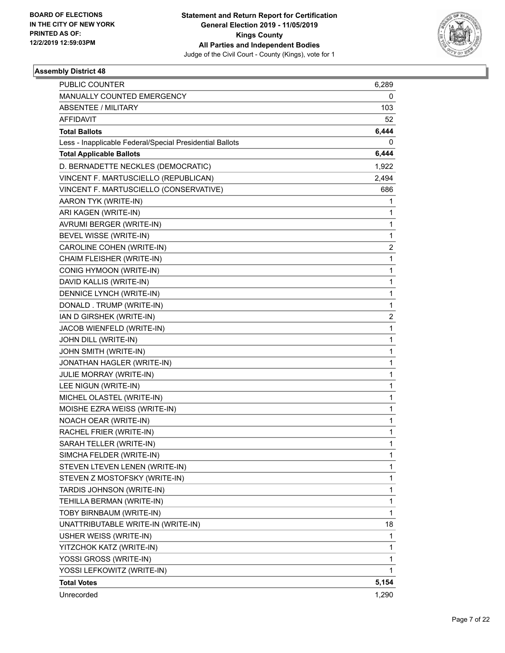

| <b>PUBLIC COUNTER</b>                                    | 6,289          |
|----------------------------------------------------------|----------------|
| MANUALLY COUNTED EMERGENCY                               | 0              |
| <b>ABSENTEE / MILITARY</b>                               | 103            |
| AFFIDAVIT                                                | 52             |
| <b>Total Ballots</b>                                     | 6,444          |
| Less - Inapplicable Federal/Special Presidential Ballots | 0              |
| <b>Total Applicable Ballots</b>                          | 6,444          |
| D. BERNADETTE NECKLES (DEMOCRATIC)                       | 1,922          |
| VINCENT F. MARTUSCIELLO (REPUBLICAN)                     | 2,494          |
| VINCENT F. MARTUSCIELLO (CONSERVATIVE)                   | 686            |
| AARON TYK (WRITE-IN)                                     | 1              |
| ARI KAGEN (WRITE-IN)                                     | 1              |
| AVRUMI BERGER (WRITE-IN)                                 | 1              |
| BEVEL WISSE (WRITE-IN)                                   | 1              |
| CAROLINE COHEN (WRITE-IN)                                | $\overline{2}$ |
| CHAIM FLEISHER (WRITE-IN)                                | 1              |
| CONIG HYMOON (WRITE-IN)                                  | 1              |
| DAVID KALLIS (WRITE-IN)                                  | 1              |
| DENNICE LYNCH (WRITE-IN)                                 | 1              |
| DONALD. TRUMP (WRITE-IN)                                 | 1              |
| IAN D GIRSHEK (WRITE-IN)                                 | $\overline{2}$ |
| JACOB WIENFELD (WRITE-IN)                                | 1              |
| JOHN DILL (WRITE-IN)                                     | 1              |
| JOHN SMITH (WRITE-IN)                                    | 1              |
| JONATHAN HAGLER (WRITE-IN)                               | 1              |
| JULIE MORRAY (WRITE-IN)                                  | 1              |
| LEE NIGUN (WRITE-IN)                                     | 1              |
| MICHEL OLASTEL (WRITE-IN)                                | 1              |
| MOISHE EZRA WEISS (WRITE-IN)                             | 1              |
| NOACH OEAR (WRITE-IN)                                    | 1              |
| RACHEL FRIER (WRITE-IN)                                  | 1              |
| SARAH TELLER (WRITE-IN)                                  | 1              |
| SIMCHA FELDER (WRITE-IN)                                 | 1              |
| STEVEN LTEVEN LENEN (WRITE-IN)                           | 1              |
| STEVEN Z MOSTOFSKY (WRITE-IN)                            | 1              |
| TARDIS JOHNSON (WRITE-IN)                                | 1              |
| TEHILLA BERMAN (WRITE-IN)                                | 1              |
| TOBY BIRNBAUM (WRITE-IN)                                 | $\mathbf{1}$   |
| UNATTRIBUTABLE WRITE-IN (WRITE-IN)                       | 18             |
| USHER WEISS (WRITE-IN)                                   | 1              |
| YITZCHOK KATZ (WRITE-IN)                                 | 1              |
| YOSSI GROSS (WRITE-IN)                                   | 1              |
| YOSSI LEFKOWITZ (WRITE-IN)                               | 1              |
| <b>Total Votes</b>                                       | 5,154          |
| Unrecorded                                               | 1,290          |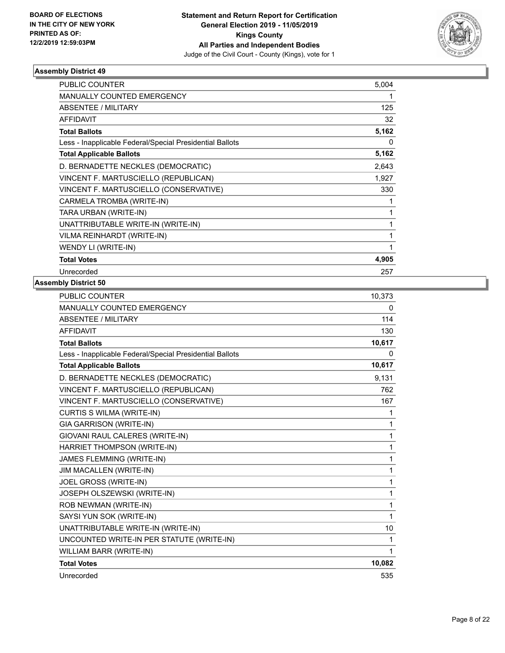

| PUBLIC COUNTER                                           | 5,004 |
|----------------------------------------------------------|-------|
| <b>MANUALLY COUNTED EMERGENCY</b>                        | 1     |
| ABSENTEE / MILITARY                                      | 125   |
| <b>AFFIDAVIT</b>                                         | 32    |
| <b>Total Ballots</b>                                     | 5,162 |
| Less - Inapplicable Federal/Special Presidential Ballots | 0     |
| <b>Total Applicable Ballots</b>                          | 5,162 |
| D. BERNADETTE NECKLES (DEMOCRATIC)                       | 2,643 |
| VINCENT F. MARTUSCIELLO (REPUBLICAN)                     | 1,927 |
| VINCENT F. MARTUSCIELLO (CONSERVATIVE)                   | 330   |
| CARMELA TROMBA (WRITE-IN)                                | 1     |
| TARA URBAN (WRITE-IN)                                    | 1     |
| UNATTRIBUTABLE WRITE-IN (WRITE-IN)                       | 1     |
| VILMA REINHARDT (WRITE-IN)                               | 1     |
| WENDY LI (WRITE-IN)                                      | 1     |
| <b>Total Votes</b>                                       | 4,905 |
| Unrecorded                                               | 257   |

| <b>PUBLIC COUNTER</b>                                    | 10,373       |
|----------------------------------------------------------|--------------|
| MANUALLY COUNTED EMERGENCY                               | 0            |
| ABSENTEE / MILITARY                                      | 114          |
| <b>AFFIDAVIT</b>                                         | 130          |
| <b>Total Ballots</b>                                     | 10,617       |
| Less - Inapplicable Federal/Special Presidential Ballots | 0            |
| <b>Total Applicable Ballots</b>                          | 10,617       |
| D. BERNADETTE NECKLES (DEMOCRATIC)                       | 9.131        |
| VINCENT F. MARTUSCIELLO (REPUBLICAN)                     | 762          |
| VINCENT F. MARTUSCIELLO (CONSERVATIVE)                   | 167          |
| CURTIS S WILMA (WRITE-IN)                                | 1            |
| <b>GIA GARRISON (WRITE-IN)</b>                           | 1            |
| GIOVANI RAUL CALERES (WRITE-IN)                          | 1            |
| HARRIET THOMPSON (WRITE-IN)                              | 1            |
| JAMES FLEMMING (WRITE-IN)                                | 1            |
| JIM MACALLEN (WRITE-IN)                                  | 1            |
| JOEL GROSS (WRITE-IN)                                    | $\mathbf{1}$ |
| JOSEPH OLSZEWSKI (WRITE-IN)                              | 1            |
| ROB NEWMAN (WRITE-IN)                                    | 1            |
| SAYSI YUN SOK (WRITE-IN)                                 | $\mathbf{1}$ |
| UNATTRIBUTABLE WRITE-IN (WRITE-IN)                       | 10           |
| UNCOUNTED WRITE-IN PER STATUTE (WRITE-IN)                | 1            |
| WILLIAM BARR (WRITE-IN)                                  | 1            |
| <b>Total Votes</b>                                       | 10,082       |
| Unrecorded                                               | 535          |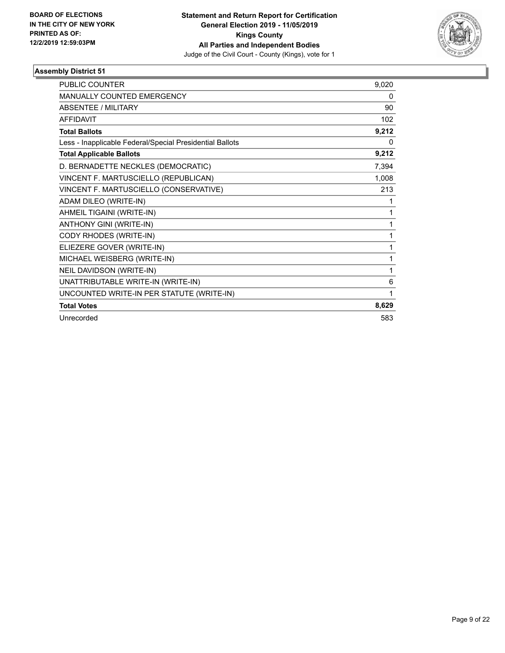

| <b>PUBLIC COUNTER</b>                                    | 9,020 |
|----------------------------------------------------------|-------|
| MANUALLY COUNTED EMERGENCY                               | 0     |
| <b>ABSENTEE / MILITARY</b>                               | 90    |
| <b>AFFIDAVIT</b>                                         | 102   |
| <b>Total Ballots</b>                                     | 9,212 |
| Less - Inapplicable Federal/Special Presidential Ballots | 0     |
| <b>Total Applicable Ballots</b>                          | 9,212 |
| D. BERNADETTE NECKLES (DEMOCRATIC)                       | 7,394 |
| VINCENT F. MARTUSCIELLO (REPUBLICAN)                     | 1,008 |
| VINCENT F. MARTUSCIELLO (CONSERVATIVE)                   | 213   |
| ADAM DILEO (WRITE-IN)                                    | 1     |
| AHMEIL TIGAINI (WRITE-IN)                                | 1     |
| ANTHONY GINI (WRITE-IN)                                  | 1     |
| CODY RHODES (WRITE-IN)                                   | 1     |
| ELIEZERE GOVER (WRITE-IN)                                | 1     |
| MICHAEL WEISBERG (WRITE-IN)                              | 1     |
| NEIL DAVIDSON (WRITE-IN)                                 | 1     |
| UNATTRIBUTABLE WRITE-IN (WRITE-IN)                       | 6     |
| UNCOUNTED WRITE-IN PER STATUTE (WRITE-IN)                | 1     |
| <b>Total Votes</b>                                       | 8,629 |
| Unrecorded                                               | 583   |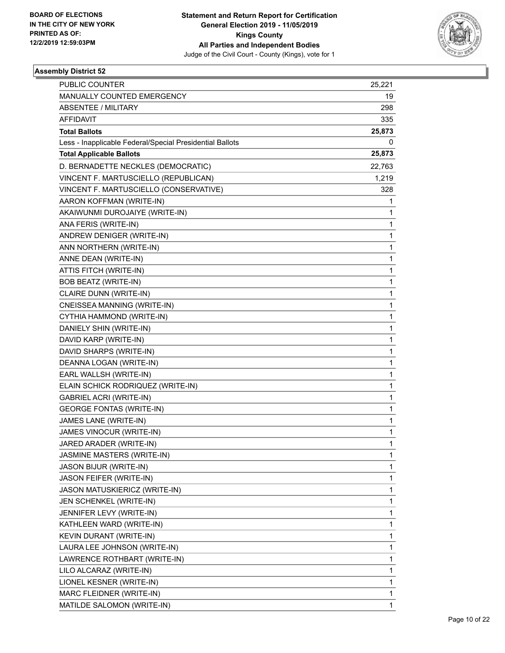

| PUBLIC COUNTER                                           | 25,221 |
|----------------------------------------------------------|--------|
| MANUALLY COUNTED EMERGENCY                               | 19     |
| ABSENTEE / MILITARY                                      | 298    |
| AFFIDAVIT                                                | 335    |
| <b>Total Ballots</b>                                     | 25,873 |
| Less - Inapplicable Federal/Special Presidential Ballots | 0      |
| <b>Total Applicable Ballots</b>                          | 25,873 |
| D. BERNADETTE NECKLES (DEMOCRATIC)                       | 22,763 |
| VINCENT F. MARTUSCIELLO (REPUBLICAN)                     | 1,219  |
| VINCENT F. MARTUSCIELLO (CONSERVATIVE)                   | 328    |
| AARON KOFFMAN (WRITE-IN)                                 | 1      |
| AKAIWUNMI DUROJAIYE (WRITE-IN)                           | 1      |
| ANA FERIS (WRITE-IN)                                     | 1      |
| ANDREW DENIGER (WRITE-IN)                                | 1      |
| ANN NORTHERN (WRITE-IN)                                  | 1      |
| ANNE DEAN (WRITE-IN)                                     | 1      |
| ATTIS FITCH (WRITE-IN)                                   | 1      |
| BOB BEATZ (WRITE-IN)                                     | 1      |
| CLAIRE DUNN (WRITE-IN)                                   | 1      |
| CNEISSEA MANNING (WRITE-IN)                              | 1      |
| CYTHIA HAMMOND (WRITE-IN)                                | 1      |
| DANIELY SHIN (WRITE-IN)                                  | 1      |
| DAVID KARP (WRITE-IN)                                    | 1      |
| DAVID SHARPS (WRITE-IN)                                  | 1      |
| DEANNA LOGAN (WRITE-IN)                                  | 1      |
| EARL WALLSH (WRITE-IN)                                   | 1      |
| ELAIN SCHICK RODRIQUEZ (WRITE-IN)                        | 1      |
| <b>GABRIEL ACRI (WRITE-IN)</b>                           | 1      |
| <b>GEORGE FONTAS (WRITE-IN)</b>                          | 1      |
| JAMES LANE (WRITE-IN)                                    | 1      |
| JAMES VINOCUR (WRITE-IN)                                 | 1      |
| JARED ARADER (WRITE-IN)                                  | 1      |
| <b>JASMINE MASTERS (WRITE-IN)</b>                        | 1      |
| <b>JASON BIJUR (WRITE-IN)</b>                            | 1      |
| JASON FEIFER (WRITE-IN)                                  | 1      |
| JASON MATUSKIERICZ (WRITE-IN)                            | 1      |
| JEN SCHENKEL (WRITE-IN)                                  | 1      |
| JENNIFER LEVY (WRITE-IN)                                 | 1      |
| KATHLEEN WARD (WRITE-IN)                                 | 1      |
| KEVIN DURANT (WRITE-IN)                                  | 1      |
| LAURA LEE JOHNSON (WRITE-IN)                             | 1      |
| LAWRENCE ROTHBART (WRITE-IN)                             | 1      |
| LILO ALCARAZ (WRITE-IN)                                  | 1      |
| LIONEL KESNER (WRITE-IN)                                 | 1      |
| MARC FLEIDNER (WRITE-IN)                                 | 1      |
| MATILDE SALOMON (WRITE-IN)                               | 1      |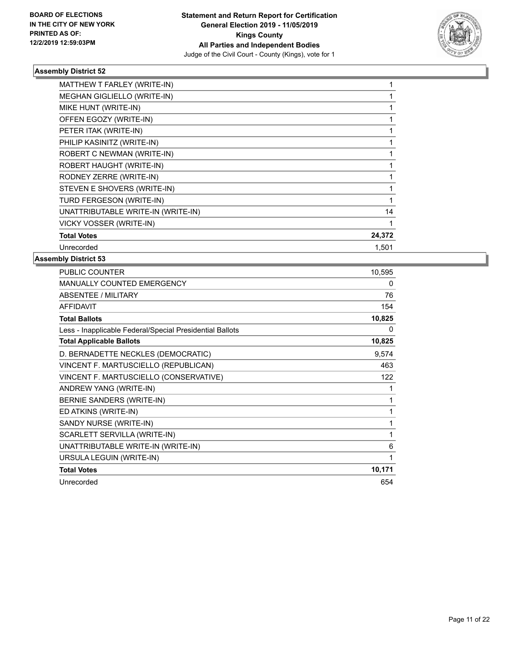

| MATTHEW T FARLEY (WRITE-IN)        |        |
|------------------------------------|--------|
| MEGHAN GIGLIELLO (WRITE-IN)        |        |
| MIKE HUNT (WRITE-IN)               |        |
| OFFEN EGOZY (WRITE-IN)             |        |
| PETER ITAK (WRITE-IN)              |        |
| PHILIP KASINITZ (WRITE-IN)         |        |
| ROBERT C NEWMAN (WRITE-IN)         |        |
| ROBERT HAUGHT (WRITE-IN)           |        |
| RODNEY ZERRE (WRITE-IN)            |        |
| STEVEN E SHOVERS (WRITE-IN)        |        |
| TURD FERGESON (WRITE-IN)           |        |
| UNATTRIBUTABLE WRITE-IN (WRITE-IN) | 14     |
| VICKY VOSSER (WRITE-IN)            |        |
| <b>Total Votes</b>                 | 24,372 |
| Unrecorded                         | 1,501  |

| PUBLIC COUNTER                                           | 10,595       |
|----------------------------------------------------------|--------------|
| <b>MANUALLY COUNTED EMERGENCY</b>                        | $\mathbf{0}$ |
| <b>ABSENTEE / MILITARY</b>                               | 76           |
| <b>AFFIDAVIT</b>                                         | 154          |
| <b>Total Ballots</b>                                     | 10,825       |
| Less - Inapplicable Federal/Special Presidential Ballots | 0            |
| <b>Total Applicable Ballots</b>                          | 10,825       |
| D. BERNADETTE NECKLES (DEMOCRATIC)                       | 9,574        |
| VINCENT F. MARTUSCIELLO (REPUBLICAN)                     | 463          |
| VINCENT F. MARTUSCIELLO (CONSERVATIVE)                   | 122          |
| ANDREW YANG (WRITE-IN)                                   |              |
| BERNIE SANDERS (WRITE-IN)                                | 1            |
| ED ATKINS (WRITE-IN)                                     | 1            |
| SANDY NURSE (WRITE-IN)                                   | 1            |
| SCARLETT SERVILLA (WRITE-IN)                             | 1            |
| UNATTRIBUTABLE WRITE-IN (WRITE-IN)                       | 6            |
| URSULA LEGUIN (WRITE-IN)                                 | 1            |
| <b>Total Votes</b>                                       | 10,171       |
| Unrecorded                                               | 654          |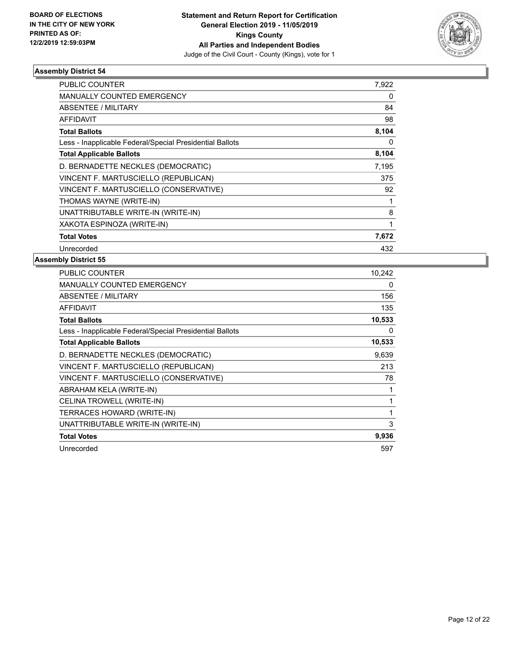

| <b>PUBLIC COUNTER</b>                                    | 7,922 |
|----------------------------------------------------------|-------|
| <b>MANUALLY COUNTED EMERGENCY</b>                        | 0     |
| ABSENTEE / MILITARY                                      | 84    |
| <b>AFFIDAVIT</b>                                         | 98    |
| <b>Total Ballots</b>                                     | 8,104 |
| Less - Inapplicable Federal/Special Presidential Ballots | 0     |
| <b>Total Applicable Ballots</b>                          | 8,104 |
| D. BERNADETTE NECKLES (DEMOCRATIC)                       | 7,195 |
| VINCENT F. MARTUSCIELLO (REPUBLICAN)                     | 375   |
| VINCENT F. MARTUSCIELLO (CONSERVATIVE)                   | 92    |
| THOMAS WAYNE (WRITE-IN)                                  | 1     |
| UNATTRIBUTABLE WRITE-IN (WRITE-IN)                       | 8     |
| XAKOTA ESPINOZA (WRITE-IN)                               | 1     |
| <b>Total Votes</b>                                       | 7,672 |
| Unrecorded                                               | 432   |

| <b>PUBLIC COUNTER</b>                                    | 10,242 |
|----------------------------------------------------------|--------|
| <b>MANUALLY COUNTED EMERGENCY</b>                        | 0      |
| <b>ABSENTEE / MILITARY</b>                               | 156    |
| <b>AFFIDAVIT</b>                                         | 135    |
| <b>Total Ballots</b>                                     | 10,533 |
| Less - Inapplicable Federal/Special Presidential Ballots | 0      |
| <b>Total Applicable Ballots</b>                          | 10,533 |
| D. BERNADETTE NECKLES (DEMOCRATIC)                       | 9,639  |
| VINCENT F. MARTUSCIELLO (REPUBLICAN)                     | 213    |
| VINCENT F. MARTUSCIELLO (CONSERVATIVE)                   | 78     |
| ABRAHAM KELA (WRITE-IN)                                  | 1      |
| CELINA TROWELL (WRITE-IN)                                | 1      |
| TERRACES HOWARD (WRITE-IN)                               | 1      |
| UNATTRIBUTABLE WRITE-IN (WRITE-IN)                       | 3      |
| <b>Total Votes</b>                                       | 9,936  |
| Unrecorded                                               | 597    |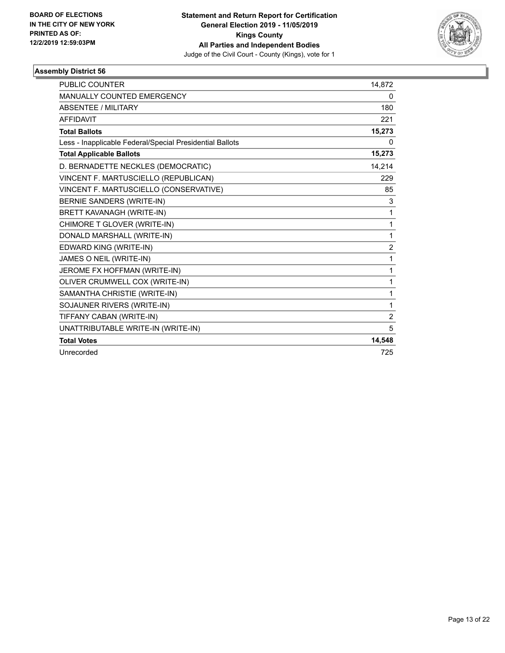

| <b>PUBLIC COUNTER</b>                                    | 14,872                  |
|----------------------------------------------------------|-------------------------|
| <b>MANUALLY COUNTED EMERGENCY</b>                        | 0                       |
| <b>ABSENTEE / MILITARY</b>                               | 180                     |
| <b>AFFIDAVIT</b>                                         | 221                     |
| <b>Total Ballots</b>                                     | 15,273                  |
| Less - Inapplicable Federal/Special Presidential Ballots | 0                       |
| <b>Total Applicable Ballots</b>                          | 15,273                  |
| D. BERNADETTE NECKLES (DEMOCRATIC)                       | 14,214                  |
| VINCENT F. MARTUSCIELLO (REPUBLICAN)                     | 229                     |
| VINCENT F. MARTUSCIELLO (CONSERVATIVE)                   | 85                      |
| BERNIE SANDERS (WRITE-IN)                                | 3                       |
| <b>BRETT KAVANAGH (WRITE-IN)</b>                         | 1                       |
| CHIMORE T GLOVER (WRITE-IN)                              | 1                       |
| DONALD MARSHALL (WRITE-IN)                               | 1                       |
| EDWARD KING (WRITE-IN)                                   | $\overline{\mathbf{c}}$ |
| JAMES O NEIL (WRITE-IN)                                  | 1                       |
| JEROME FX HOFFMAN (WRITE-IN)                             | $\mathbf{1}$            |
| OLIVER CRUMWELL COX (WRITE-IN)                           | 1                       |
| SAMANTHA CHRISTIE (WRITE-IN)                             | 1                       |
| SOJAUNER RIVERS (WRITE-IN)                               | 1                       |
| TIFFANY CABAN (WRITE-IN)                                 | $\overline{2}$          |
| UNATTRIBUTABLE WRITE-IN (WRITE-IN)                       | 5                       |
| <b>Total Votes</b>                                       | 14,548                  |
| Unrecorded                                               | 725                     |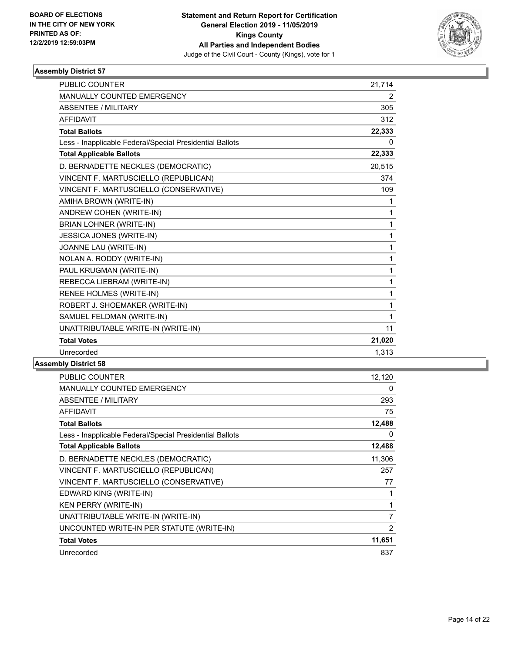

| PUBLIC COUNTER                                           | 21,714         |
|----------------------------------------------------------|----------------|
| <b>MANUALLY COUNTED EMERGENCY</b>                        | $\overline{2}$ |
| ABSENTEE / MILITARY                                      | 305            |
| <b>AFFIDAVIT</b>                                         | 312            |
| <b>Total Ballots</b>                                     | 22,333         |
| Less - Inapplicable Federal/Special Presidential Ballots | $\Omega$       |
| <b>Total Applicable Ballots</b>                          | 22,333         |
| D. BERNADETTE NECKLES (DEMOCRATIC)                       | 20,515         |
| VINCENT F. MARTUSCIELLO (REPUBLICAN)                     | 374            |
| VINCENT F. MARTUSCIELLO (CONSERVATIVE)                   | 109            |
| AMIHA BROWN (WRITE-IN)                                   | 1              |
| ANDREW COHEN (WRITE-IN)                                  | 1              |
| <b>BRIAN LOHNER (WRITE-IN)</b>                           | 1              |
| JESSICA JONES (WRITE-IN)                                 | 1              |
| JOANNE LAU (WRITE-IN)                                    | 1              |
| NOLAN A. RODDY (WRITE-IN)                                | 1              |
| PAUL KRUGMAN (WRITE-IN)                                  | 1              |
| REBECCA LIEBRAM (WRITE-IN)                               | 1              |
| RENEE HOLMES (WRITE-IN)                                  | 1              |
| ROBERT J. SHOEMAKER (WRITE-IN)                           | 1              |
| SAMUEL FELDMAN (WRITE-IN)                                | 1              |
| UNATTRIBUTABLE WRITE-IN (WRITE-IN)                       | 11             |
| <b>Total Votes</b>                                       | 21,020         |
| Unrecorded                                               | 1,313          |

| <b>PUBLIC COUNTER</b>                                    | 12,120         |
|----------------------------------------------------------|----------------|
| MANUALLY COUNTED EMERGENCY                               | 0              |
| ABSENTEE / MILITARY                                      | 293            |
| AFFIDAVIT                                                | 75             |
| <b>Total Ballots</b>                                     | 12,488         |
| Less - Inapplicable Federal/Special Presidential Ballots | 0              |
| <b>Total Applicable Ballots</b>                          | 12,488         |
| D. BERNADETTE NECKLES (DEMOCRATIC)                       | 11,306         |
| VINCENT F. MARTUSCIELLO (REPUBLICAN)                     | 257            |
| VINCENT F. MARTUSCIELLO (CONSERVATIVE)                   | 77             |
| EDWARD KING (WRITE-IN)                                   | 1              |
| <b>KEN PERRY (WRITE-IN)</b>                              | 1              |
| UNATTRIBUTABLE WRITE-IN (WRITE-IN)                       | $\overline{7}$ |
| UNCOUNTED WRITE-IN PER STATUTE (WRITE-IN)                | $\overline{2}$ |
| <b>Total Votes</b>                                       | 11,651         |
| Unrecorded                                               | 837            |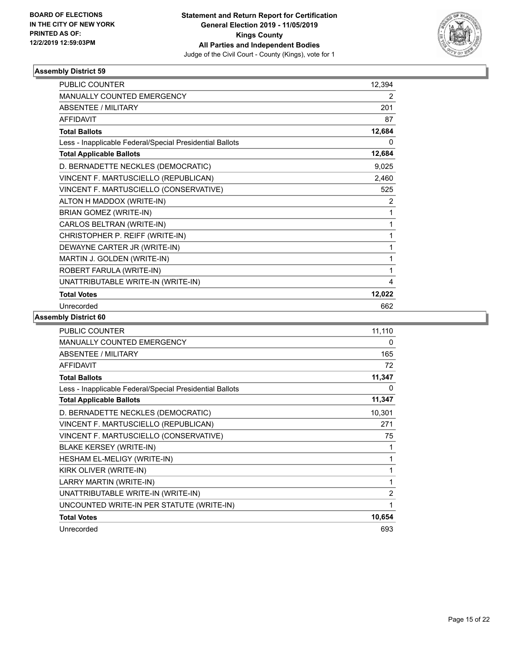

| <b>PUBLIC COUNTER</b>                                    | 12,394 |
|----------------------------------------------------------|--------|
| <b>MANUALLY COUNTED EMERGENCY</b>                        | 2      |
| ABSENTEE / MILITARY                                      | 201    |
| <b>AFFIDAVIT</b>                                         | 87     |
| <b>Total Ballots</b>                                     | 12,684 |
| Less - Inapplicable Federal/Special Presidential Ballots | 0      |
| <b>Total Applicable Ballots</b>                          | 12,684 |
| D. BERNADETTE NECKLES (DEMOCRATIC)                       | 9,025  |
| VINCENT F. MARTUSCIELLO (REPUBLICAN)                     | 2,460  |
| VINCENT F. MARTUSCIELLO (CONSERVATIVE)                   | 525    |
| ALTON H MADDOX (WRITE-IN)                                | 2      |
| <b>BRIAN GOMEZ (WRITE-IN)</b>                            | 1      |
| CARLOS BELTRAN (WRITE-IN)                                | 1      |
| CHRISTOPHER P. REIFF (WRITE-IN)                          | 1      |
| DEWAYNE CARTER JR (WRITE-IN)                             | 1      |
| MARTIN J. GOLDEN (WRITE-IN)                              | 1      |
| ROBERT FARULA (WRITE-IN)                                 | 1      |
| UNATTRIBUTABLE WRITE-IN (WRITE-IN)                       | 4      |
| <b>Total Votes</b>                                       | 12,022 |
| Unrecorded                                               | 662    |

| <b>PUBLIC COUNTER</b>                                    | 11,110         |
|----------------------------------------------------------|----------------|
| <b>MANUALLY COUNTED EMERGENCY</b>                        | 0              |
| <b>ABSENTEE / MILITARY</b>                               | 165            |
| <b>AFFIDAVIT</b>                                         | 72             |
| <b>Total Ballots</b>                                     | 11,347         |
| Less - Inapplicable Federal/Special Presidential Ballots | 0              |
| <b>Total Applicable Ballots</b>                          | 11,347         |
| D. BERNADETTE NECKLES (DEMOCRATIC)                       | 10,301         |
| VINCENT F. MARTUSCIELLO (REPUBLICAN)                     | 271            |
| VINCENT F. MARTUSCIELLO (CONSERVATIVE)                   | 75             |
| <b>BLAKE KERSEY (WRITE-IN)</b>                           | 1              |
| <b>HESHAM EL-MELIGY (WRITE-IN)</b>                       | 1              |
| KIRK OLIVER (WRITE-IN)                                   | 1              |
| LARRY MARTIN (WRITE-IN)                                  | 1              |
| UNATTRIBUTABLE WRITE-IN (WRITE-IN)                       | $\overline{2}$ |
| UNCOUNTED WRITE-IN PER STATUTE (WRITE-IN)                | 1              |
| <b>Total Votes</b>                                       | 10,654         |
| Unrecorded                                               | 693            |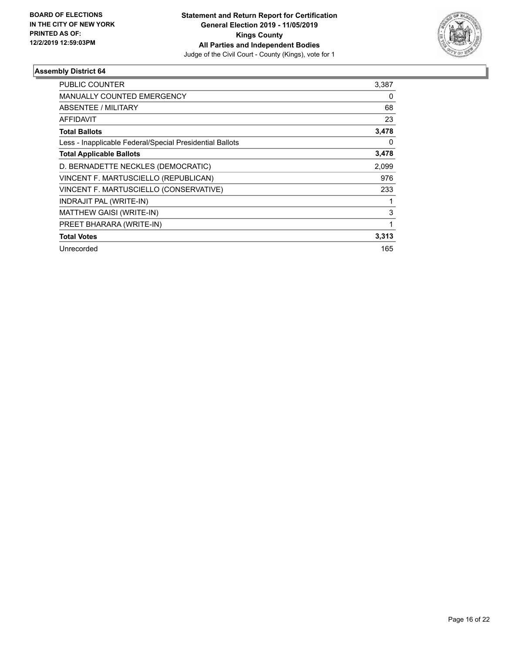

| PUBLIC COUNTER                                           | 3,387 |
|----------------------------------------------------------|-------|
| <b>MANUALLY COUNTED EMERGENCY</b>                        | 0     |
| <b>ABSENTEE / MILITARY</b>                               | 68    |
| <b>AFFIDAVIT</b>                                         | 23    |
| <b>Total Ballots</b>                                     | 3,478 |
| Less - Inapplicable Federal/Special Presidential Ballots | 0     |
| <b>Total Applicable Ballots</b>                          | 3,478 |
| D. BERNADETTE NECKLES (DEMOCRATIC)                       | 2,099 |
| VINCENT F. MARTUSCIELLO (REPUBLICAN)                     | 976   |
| VINCENT F. MARTUSCIELLO (CONSERVATIVE)                   | 233   |
| INDRAJIT PAL (WRITE-IN)                                  |       |
| MATTHEW GAISI (WRITE-IN)                                 | 3     |
| PREET BHARARA (WRITE-IN)                                 | 1     |
| <b>Total Votes</b>                                       | 3,313 |
| Unrecorded                                               | 165   |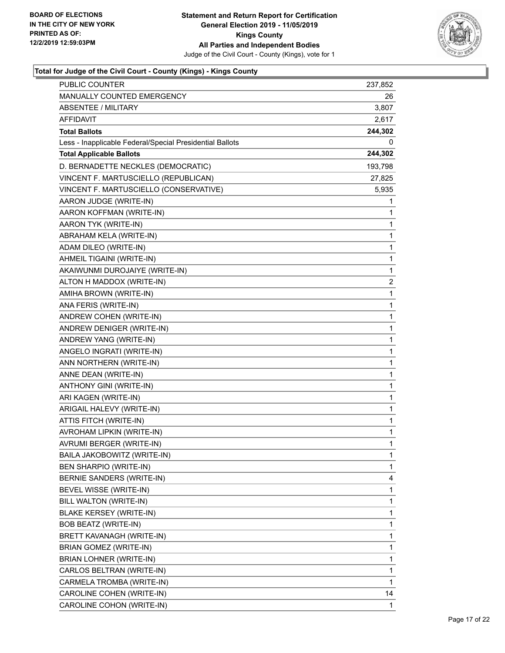

| <b>PUBLIC COUNTER</b>                                    | 237,852        |
|----------------------------------------------------------|----------------|
| MANUALLY COUNTED EMERGENCY                               | 26             |
| <b>ABSENTEE / MILITARY</b>                               | 3,807          |
| AFFIDAVIT                                                | 2,617          |
| <b>Total Ballots</b>                                     | 244,302        |
| Less - Inapplicable Federal/Special Presidential Ballots | 0              |
| <b>Total Applicable Ballots</b>                          | 244,302        |
| D. BERNADETTE NECKLES (DEMOCRATIC)                       | 193,798        |
| VINCENT F. MARTUSCIELLO (REPUBLICAN)                     | 27,825         |
| VINCENT F. MARTUSCIELLO (CONSERVATIVE)                   | 5,935          |
| AARON JUDGE (WRITE-IN)                                   | 1              |
| AARON KOFFMAN (WRITE-IN)                                 | 1              |
| AARON TYK (WRITE-IN)                                     | 1              |
| ABRAHAM KELA (WRITE-IN)                                  | 1              |
| ADAM DILEO (WRITE-IN)                                    | 1              |
| AHMEIL TIGAINI (WRITE-IN)                                | 1              |
| AKAIWUNMI DUROJAIYE (WRITE-IN)                           | 1              |
| ALTON H MADDOX (WRITE-IN)                                | $\overline{2}$ |
| AMIHA BROWN (WRITE-IN)                                   | 1              |
| ANA FERIS (WRITE-IN)                                     | 1              |
| ANDREW COHEN (WRITE-IN)                                  | 1              |
| ANDREW DENIGER (WRITE-IN)                                | 1              |
| ANDREW YANG (WRITE-IN)                                   | 1              |
| ANGELO INGRATI (WRITE-IN)                                | 1              |
| ANN NORTHERN (WRITE-IN)                                  | 1              |
| ANNE DEAN (WRITE-IN)                                     | 1              |
| ANTHONY GINI (WRITE-IN)                                  | 1              |
| ARI KAGEN (WRITE-IN)                                     | 1              |
| ARIGAIL HALEVY (WRITE-IN)                                | 1              |
| ATTIS FITCH (WRITE-IN)                                   | 1              |
| AVROHAM LIPKIN (WRITE-IN)                                | 1              |
| AVRUMI BERGER (WRITE-IN)                                 | 1              |
| BAILA JAKOBOWITZ (WRITE-IN)                              | 1              |
| <b>BEN SHARPIO (WRITE-IN)</b>                            | 1              |
| BERNIE SANDERS (WRITE-IN)                                | 4              |
| BEVEL WISSE (WRITE-IN)                                   | 1              |
| BILL WALTON (WRITE-IN)                                   | 1              |
| <b>BLAKE KERSEY (WRITE-IN)</b>                           | 1              |
| <b>BOB BEATZ (WRITE-IN)</b>                              | 1              |
| BRETT KAVANAGH (WRITE-IN)                                | 1              |
| <b>BRIAN GOMEZ (WRITE-IN)</b>                            | 1              |
| BRIAN LOHNER (WRITE-IN)                                  | 1              |
| CARLOS BELTRAN (WRITE-IN)                                | 1              |
| CARMELA TROMBA (WRITE-IN)                                | 1              |
| CAROLINE COHEN (WRITE-IN)                                | 14             |
| CAROLINE COHON (WRITE-IN)                                | 1              |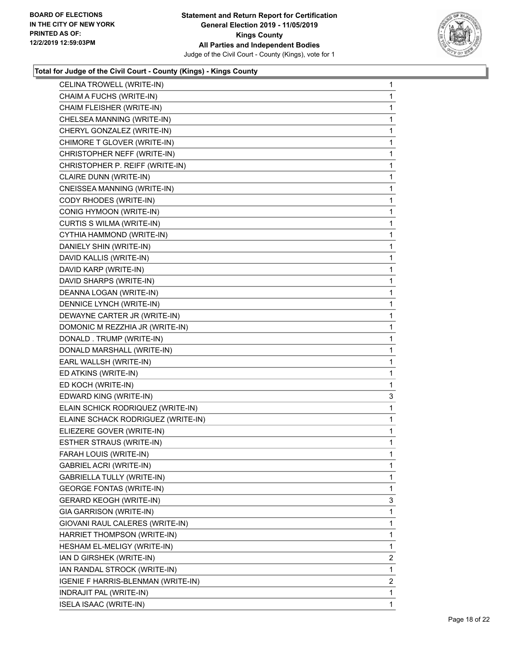

| CELINA TROWELL (WRITE-IN)          | 1              |
|------------------------------------|----------------|
| CHAIM A FUCHS (WRITE-IN)           | 1              |
| CHAIM FLEISHER (WRITE-IN)          | 1              |
| CHELSEA MANNING (WRITE-IN)         | 1              |
| CHERYL GONZALEZ (WRITE-IN)         | 1              |
| CHIMORE T GLOVER (WRITE-IN)        | 1              |
| CHRISTOPHER NEFF (WRITE-IN)        | 1              |
| CHRISTOPHER P. REIFF (WRITE-IN)    | 1              |
| CLAIRE DUNN (WRITE-IN)             | 1              |
| CNEISSEA MANNING (WRITE-IN)        | 1              |
| CODY RHODES (WRITE-IN)             | 1              |
| CONIG HYMOON (WRITE-IN)            | 1              |
| CURTIS S WILMA (WRITE-IN)          | 1              |
| CYTHIA HAMMOND (WRITE-IN)          | 1              |
| DANIELY SHIN (WRITE-IN)            | 1              |
| DAVID KALLIS (WRITE-IN)            | 1              |
| DAVID KARP (WRITE-IN)              | 1              |
| DAVID SHARPS (WRITE-IN)            | 1              |
| DEANNA LOGAN (WRITE-IN)            | 1              |
| DENNICE LYNCH (WRITE-IN)           | 1              |
| DEWAYNE CARTER JR (WRITE-IN)       | 1              |
| DOMONIC M REZZHIA JR (WRITE-IN)    | 1              |
| DONALD . TRUMP (WRITE-IN)          | 1              |
| DONALD MARSHALL (WRITE-IN)         | 1              |
| EARL WALLSH (WRITE-IN)             | 1              |
| ED ATKINS (WRITE-IN)               | 1              |
| ED KOCH (WRITE-IN)                 | 1              |
| EDWARD KING (WRITE-IN)             | 3              |
| ELAIN SCHICK RODRIQUEZ (WRITE-IN)  | 1              |
| ELAINE SCHACK RODRIGUEZ (WRITE-IN) | 1              |
| ELIEZERE GOVER (WRITE-IN)          | 1              |
| ESTHER STRAUS (WRITE-IN)           | 1              |
| FARAH LOUIS (WRITE-IN)             | 1              |
| <b>GABRIEL ACRI (WRITE-IN)</b>     | 1              |
| <b>GABRIELLA TULLY (WRITE-IN)</b>  | 1              |
| <b>GEORGE FONTAS (WRITE-IN)</b>    | 1              |
| <b>GERARD KEOGH (WRITE-IN)</b>     | 3              |
| GIA GARRISON (WRITE-IN)            | 1              |
| GIOVANI RAUL CALERES (WRITE-IN)    | 1              |
| HARRIET THOMPSON (WRITE-IN)        | 1              |
| HESHAM EL-MELIGY (WRITE-IN)        | 1              |
| IAN D GIRSHEK (WRITE-IN)           | $\overline{2}$ |
| IAN RANDAL STROCK (WRITE-IN)       | 1              |
| IGENIE F HARRIS-BLENMAN (WRITE-IN) | $\overline{2}$ |
| INDRAJIT PAL (WRITE-IN)            | 1              |
| ISELA ISAAC (WRITE-IN)             | 1              |
|                                    |                |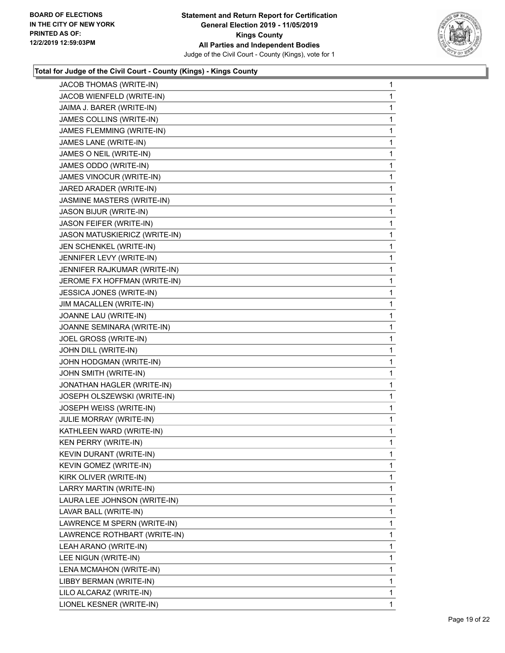

| JACOB THOMAS (WRITE-IN)        | 1           |
|--------------------------------|-------------|
| JACOB WIENFELD (WRITE-IN)      | 1           |
| JAIMA J. BARER (WRITE-IN)      | 1           |
| JAMES COLLINS (WRITE-IN)       | 1           |
| JAMES FLEMMING (WRITE-IN)      | 1           |
| JAMES LANE (WRITE-IN)          | 1           |
| JAMES O NEIL (WRITE-IN)        | 1           |
| JAMES ODDO (WRITE-IN)          | 1           |
| JAMES VINOCUR (WRITE-IN)       | 1           |
| JARED ARADER (WRITE-IN)        | 1           |
| JASMINE MASTERS (WRITE-IN)     | 1           |
| JASON BIJUR (WRITE-IN)         | 1           |
| JASON FEIFER (WRITE-IN)        | 1           |
| JASON MATUSKIERICZ (WRITE-IN)  | 1           |
| JEN SCHENKEL (WRITE-IN)        | 1           |
| JENNIFER LEVY (WRITE-IN)       | 1           |
| JENNIFER RAJKUMAR (WRITE-IN)   | 1           |
| JEROME FX HOFFMAN (WRITE-IN)   | 1           |
| JESSICA JONES (WRITE-IN)       | 1           |
| JIM MACALLEN (WRITE-IN)        | 1           |
| JOANNE LAU (WRITE-IN)          | 1           |
| JOANNE SEMINARA (WRITE-IN)     | 1           |
| JOEL GROSS (WRITE-IN)          | 1           |
| JOHN DILL (WRITE-IN)           | 1           |
| JOHN HODGMAN (WRITE-IN)        | 1           |
| JOHN SMITH (WRITE-IN)          | 1           |
| JONATHAN HAGLER (WRITE-IN)     | 1           |
| JOSEPH OLSZEWSKI (WRITE-IN)    | 1           |
| JOSEPH WEISS (WRITE-IN)        | 1           |
| JULIE MORRAY (WRITE-IN)        | 1           |
| KATHLEEN WARD (WRITE-IN)       | 1           |
| KEN PERRY (WRITE-IN)           | 1           |
| <b>KEVIN DURANT (WRITE-IN)</b> | 1           |
| KEVIN GOMEZ (WRITE-IN)         | 1           |
| KIRK OLIVER (WRITE-IN)         | 1           |
| LARRY MARTIN (WRITE-IN)        | 1           |
| LAURA LEE JOHNSON (WRITE-IN)   | 1           |
| LAVAR BALL (WRITE-IN)          | 1           |
| LAWRENCE M SPERN (WRITE-IN)    | 1           |
| LAWRENCE ROTHBART (WRITE-IN)   | 1           |
| LEAH ARANO (WRITE-IN)          | 1           |
| LEE NIGUN (WRITE-IN)           | 1           |
| LENA MCMAHON (WRITE-IN)        | 1           |
| LIBBY BERMAN (WRITE-IN)        | 1           |
| LILO ALCARAZ (WRITE-IN)        | 1           |
| LIONEL KESNER (WRITE-IN)       | $\mathbf 1$ |
|                                |             |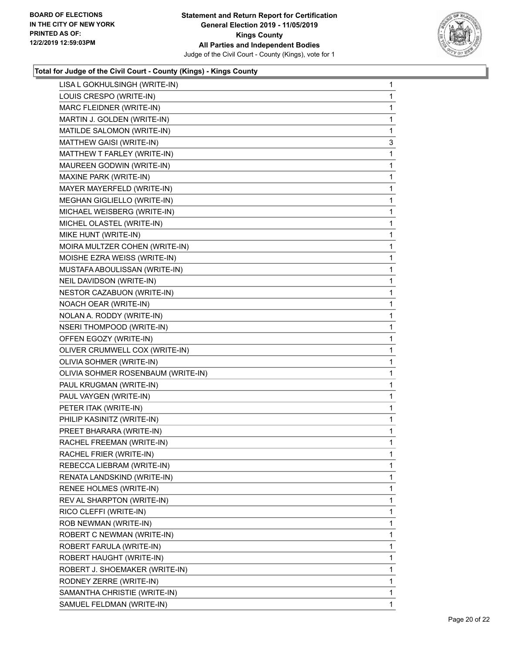

| LISA L GOKHULSINGH (WRITE-IN)      | 1 |
|------------------------------------|---|
| LOUIS CRESPO (WRITE-IN)            | 1 |
| MARC FLEIDNER (WRITE-IN)           | 1 |
| MARTIN J. GOLDEN (WRITE-IN)        | 1 |
| MATILDE SALOMON (WRITE-IN)         | 1 |
| MATTHEW GAISI (WRITE-IN)           | 3 |
| MATTHEW T FARLEY (WRITE-IN)        | 1 |
| MAUREEN GODWIN (WRITE-IN)          | 1 |
| MAXINE PARK (WRITE-IN)             | 1 |
| MAYER MAYERFELD (WRITE-IN)         | 1 |
| MEGHAN GIGLIELLO (WRITE-IN)        | 1 |
| MICHAEL WEISBERG (WRITE-IN)        | 1 |
| MICHEL OLASTEL (WRITE-IN)          | 1 |
| MIKE HUNT (WRITE-IN)               | 1 |
| MOIRA MULTZER COHEN (WRITE-IN)     | 1 |
| MOISHE EZRA WEISS (WRITE-IN)       | 1 |
| MUSTAFA ABOULISSAN (WRITE-IN)      | 1 |
| NEIL DAVIDSON (WRITE-IN)           | 1 |
| NESTOR CAZABUON (WRITE-IN)         | 1 |
| NOACH OEAR (WRITE-IN)              | 1 |
| NOLAN A. RODDY (WRITE-IN)          | 1 |
| <b>NSERI THOMPOOD (WRITE-IN)</b>   | 1 |
| OFFEN EGOZY (WRITE-IN)             | 1 |
| OLIVER CRUMWELL COX (WRITE-IN)     | 1 |
| OLIVIA SOHMER (WRITE-IN)           | 1 |
| OLIVIA SOHMER ROSENBAUM (WRITE-IN) | 1 |
| PAUL KRUGMAN (WRITE-IN)            | 1 |
| PAUL VAYGEN (WRITE-IN)             | 1 |
| PETER ITAK (WRITE-IN)              | 1 |
| PHILIP KASINITZ (WRITE-IN)         | 1 |
| PREET BHARARA (WRITE-IN)           | 1 |
| RACHEL FREEMAN (WRITE-IN)          | 1 |
| RACHEL FRIER (WRITE-IN)            | 1 |
| REBECCA LIEBRAM (WRITE-IN)         | 1 |
| RENATA LANDSKIND (WRITE-IN)        | 1 |
| RENEE HOLMES (WRITE-IN)            | 1 |
| REV AL SHARPTON (WRITE-IN)         | 1 |
| RICO CLEFFI (WRITE-IN)             | 1 |
| ROB NEWMAN (WRITE-IN)              | 1 |
| ROBERT C NEWMAN (WRITE-IN)         | 1 |
| ROBERT FARULA (WRITE-IN)           | 1 |
| ROBERT HAUGHT (WRITE-IN)           | 1 |
| ROBERT J. SHOEMAKER (WRITE-IN)     | 1 |
| RODNEY ZERRE (WRITE-IN)            | 1 |
| SAMANTHA CHRISTIE (WRITE-IN)       | 1 |
| SAMUEL FELDMAN (WRITE-IN)          | 1 |
|                                    |   |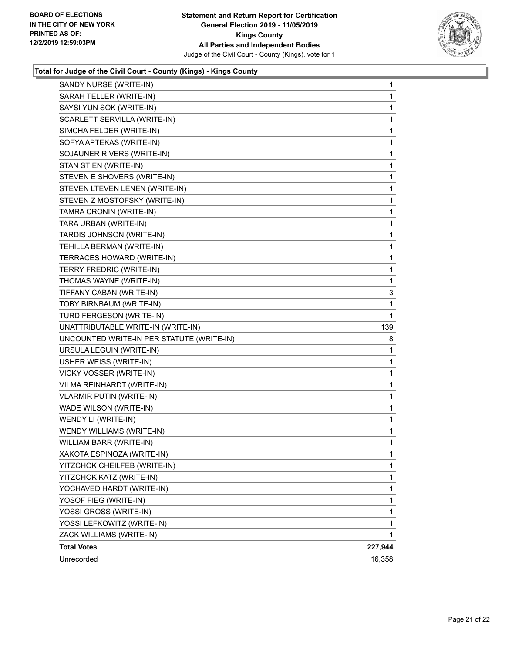

| SANDY NURSE (WRITE-IN)                    | $\mathbf{1}$ |
|-------------------------------------------|--------------|
| SARAH TELLER (WRITE-IN)                   | 1            |
| SAYSI YUN SOK (WRITE-IN)                  | 1            |
| SCARLETT SERVILLA (WRITE-IN)              | 1            |
| SIMCHA FELDER (WRITE-IN)                  | 1            |
| SOFYA APTEKAS (WRITE-IN)                  | $\mathbf{1}$ |
| SOJAUNER RIVERS (WRITE-IN)                | $\mathbf{1}$ |
| STAN STIEN (WRITE-IN)                     | 1            |
| STEVEN E SHOVERS (WRITE-IN)               | $\mathbf{1}$ |
| STEVEN LTEVEN LENEN (WRITE-IN)            | $\mathbf{1}$ |
| STEVEN Z MOSTOFSKY (WRITE-IN)             | 1            |
| TAMRA CRONIN (WRITE-IN)                   | $\mathbf 1$  |
| TARA URBAN (WRITE-IN)                     | $\mathbf 1$  |
| TARDIS JOHNSON (WRITE-IN)                 | 1            |
| TEHILLA BERMAN (WRITE-IN)                 | $\mathbf 1$  |
| TERRACES HOWARD (WRITE-IN)                | $\mathbf 1$  |
| TERRY FREDRIC (WRITE-IN)                  | 1            |
| THOMAS WAYNE (WRITE-IN)                   | 1            |
| TIFFANY CABAN (WRITE-IN)                  | 3            |
| TOBY BIRNBAUM (WRITE-IN)                  | 1            |
| TURD FERGESON (WRITE-IN)                  | 1            |
| UNATTRIBUTABLE WRITE-IN (WRITE-IN)        | 139          |
| UNCOUNTED WRITE-IN PER STATUTE (WRITE-IN) | 8            |
| URSULA LEGUIN (WRITE-IN)                  | 1            |
| USHER WEISS (WRITE-IN)                    | 1            |
| VICKY VOSSER (WRITE-IN)                   | 1            |
| VILMA REINHARDT (WRITE-IN)                | $\mathbf 1$  |
| <b>VLARMIR PUTIN (WRITE-IN)</b>           | $\mathbf 1$  |
| WADE WILSON (WRITE-IN)                    | 1            |
| WENDY LI (WRITE-IN)                       | $\mathbf 1$  |
| WENDY WILLIAMS (WRITE-IN)                 | 1            |
| WILLIAM BARR (WRITE-IN)                   | 1            |
| XAKOTA ESPINOZA (WRITE-IN)                | 1            |
| YITZCHOK CHEILFEB (WRITE-IN)              | 1            |
| YITZCHOK KATZ (WRITE-IN)                  | 1            |
| YOCHAVED HARDT (WRITE-IN)                 | $\mathbf{1}$ |
| YOSOF FIEG (WRITE-IN)                     | 1            |
| YOSSI GROSS (WRITE-IN)                    | 1            |
| YOSSI LEFKOWITZ (WRITE-IN)                | 1            |
| ZACK WILLIAMS (WRITE-IN)                  | 1            |
| <b>Total Votes</b>                        | 227,944      |
| Unrecorded                                | 16,358       |